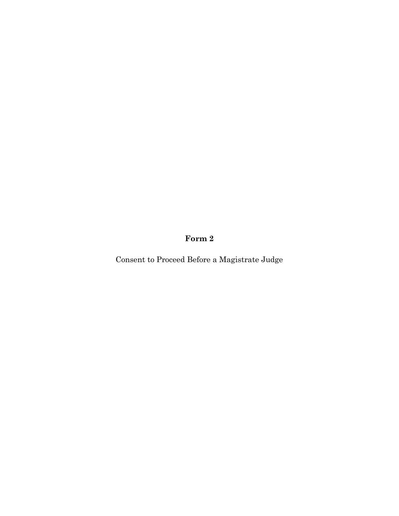**Form 2**

Consent to Proceed Before a Magistrate Judge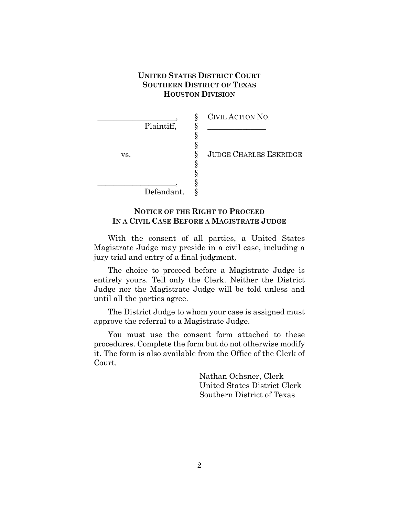# **UNITED STATES DISTRICT COURT SOUTHERN DISTRICT OF TEXAS HOUSTON DIVISION**

|     |            | 8 | CIVIL ACTION NO.              |
|-----|------------|---|-------------------------------|
|     | Plaintiff, |   |                               |
|     |            |   |                               |
|     |            |   |                               |
| VS. |            | 8 | <b>JUDGE CHARLES ESKRIDGE</b> |
|     |            |   |                               |
|     |            |   |                               |
|     |            |   |                               |
|     | Defendant. |   |                               |

### **NOTICE OF THE RIGHT TO PROCEED IN A CIVIL CASE BEFORE A MAGISTRATE JUDGE**

With the consent of all parties, a United States Magistrate Judge may preside in a civil case, including a jury trial and entry of a final judgment.

The choice to proceed before a Magistrate Judge is entirely yours. Tell only the Clerk. Neither the District Judge nor the Magistrate Judge will be told unless and until all the parties agree.

The District Judge to whom your case is assigned must approve the referral to a Magistrate Judge.

You must use the consent form attached to these procedures. Complete the form but do not otherwise modify it. The form is also available from the Office of the Clerk of Court.

> Nathan Ochsner, Clerk United States District Clerk Southern District of Texas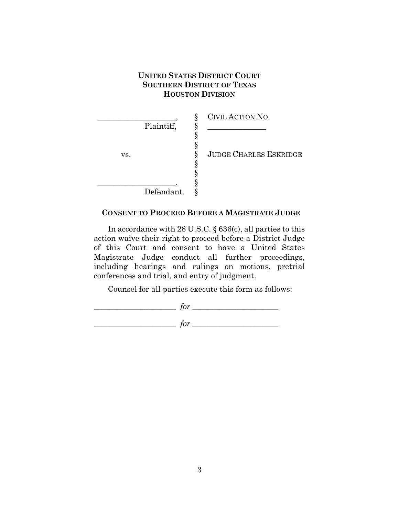# **UNITED STATES DISTRICT COURT SOUTHERN DISTRICT OF TEXAS HOUSTON DIVISION**

|            |   | CIVIL ACTION NO.              |
|------------|---|-------------------------------|
| Plaintiff, |   |                               |
|            |   |                               |
|            |   |                               |
| VS.        | ↷ | <b>JUDGE CHARLES ESKRIDGE</b> |
|            |   |                               |
|            |   |                               |
|            |   |                               |
| Defendant. |   |                               |

#### **CONSENT TO PROCEED BEFORE A MAGISTRATE JUDGE**

In accordance with 28 U.S.C. § 636(c), all parties to this action waive their right to proceed before a District Judge of this Court and consent to have a United States Magistrate Judge conduct all further proceedings, including hearings and rulings on motions, pretrial conferences and trial, and entry of judgment.

Counsel for all parties execute this form as follows:

\_\_\_\_\_\_\_\_\_\_\_\_\_\_\_\_\_\_\_\_\_ *for* \_\_\_\_\_\_\_\_\_\_\_\_\_\_\_\_\_\_\_\_\_\_  $\int$  *for*  $\frac{1}{\sqrt{2}}$